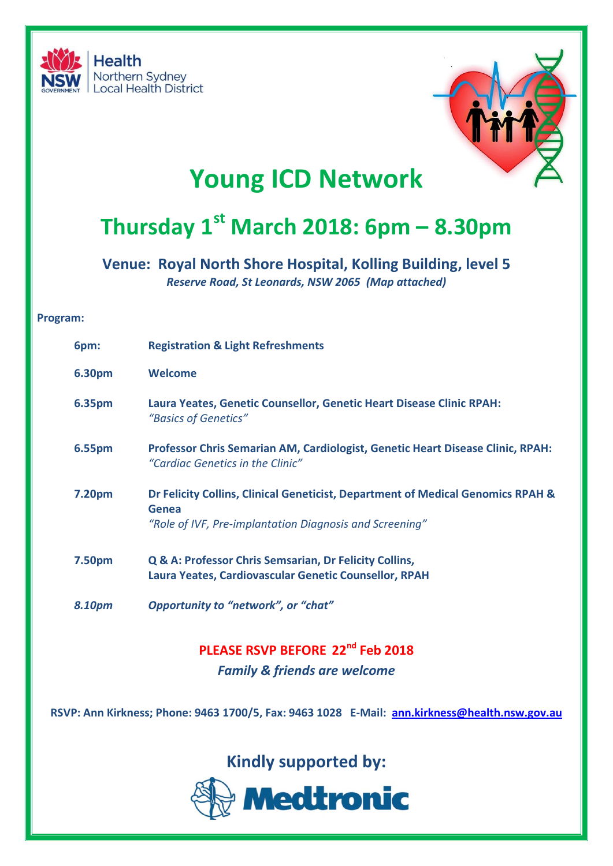



## **Young ICD Network**

# **Thursday 1st March 2018: 6pm – 8.30pm**

**Venue: Royal North Shore Hospital, Kolling Building, level 5** *Reserve Road, St Leonards, NSW 2065 (Map attached)*

#### **Program:**

| 6pm:   | <b>Registration &amp; Light Refreshments</b>                                                                                                        |
|--------|-----------------------------------------------------------------------------------------------------------------------------------------------------|
| 6.30pm | <b>Welcome</b>                                                                                                                                      |
| 6.35pm | Laura Yeates, Genetic Counsellor, Genetic Heart Disease Clinic RPAH:<br>"Basics of Genetics"                                                        |
| 6.55pm | <b>Professor Chris Semarian AM, Cardiologist, Genetic Heart Disease Clinic, RPAH:</b><br>"Cardiac Genetics in the Clinic"                           |
| 7.20pm | Dr Felicity Collins, Clinical Geneticist, Department of Medical Genomics RPAH &<br>Genea<br>"Role of IVF, Pre-implantation Diagnosis and Screening" |
|        |                                                                                                                                                     |
| 7.50pm | Q & A: Professor Chris Semsarian, Dr Felicity Collins,<br>Laura Yeates, Cardiovascular Genetic Counsellor, RPAH                                     |
| 8.10pm | Opportunity to "network", or "chat"                                                                                                                 |

**PLEASE RSVP BEFORE 22nd Feb 2018** *Family & friends are welcome*

**RSVP: Ann Kirkness; Phone: 9463 1700/5, Fax: 9463 1028 E-Mail: [ann.kirkness@health.nsw.gov.au](mailto:ann.kirkness@health.nsw.gov.au)**

**Kindly supported by:**